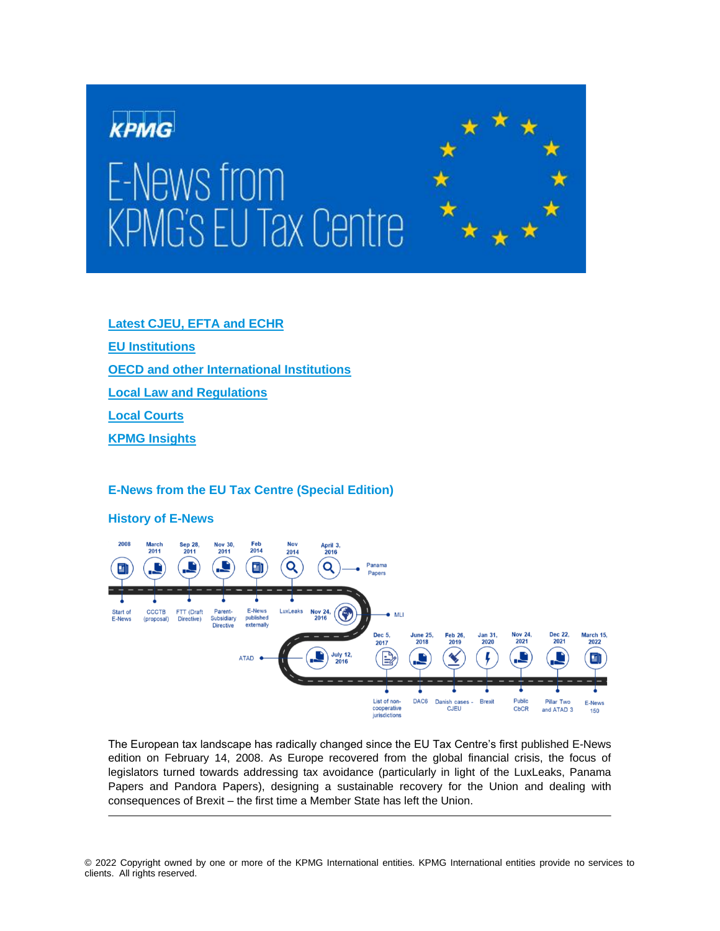# KPMG E-News from **KPMG's EU Tax Centre**



**Latest CJEU, EFTA and ECHR**

<span id="page-0-0"></span>**EU Institutions**

**[OECD and other International Institutions](#page-7-0)**

**[Local Law and Regulations](#page-9-0)**

**[Local Courts](#page-12-0)**

**[KPMG Insights](#page-13-0)**

# **E-News from the EU Tax Centre (Special Edition)**

**History of E-News**



The European tax landscape has radically changed since the EU Tax Centre's first published E-News edition on February 14, 2008. As Europe recovered from the global financial crisis, the focus of legislators turned towards addressing tax avoidance (particularly in light of the LuxLeaks, Panama Papers and Pandora Papers), designing a sustainable recovery for the Union and dealing with consequences of Brexit – the first time a Member State has left the Union.

© 2022 Copyright owned by one or more of the KPMG International entities. KPMG International entities provide no services to clients. All rights reserved.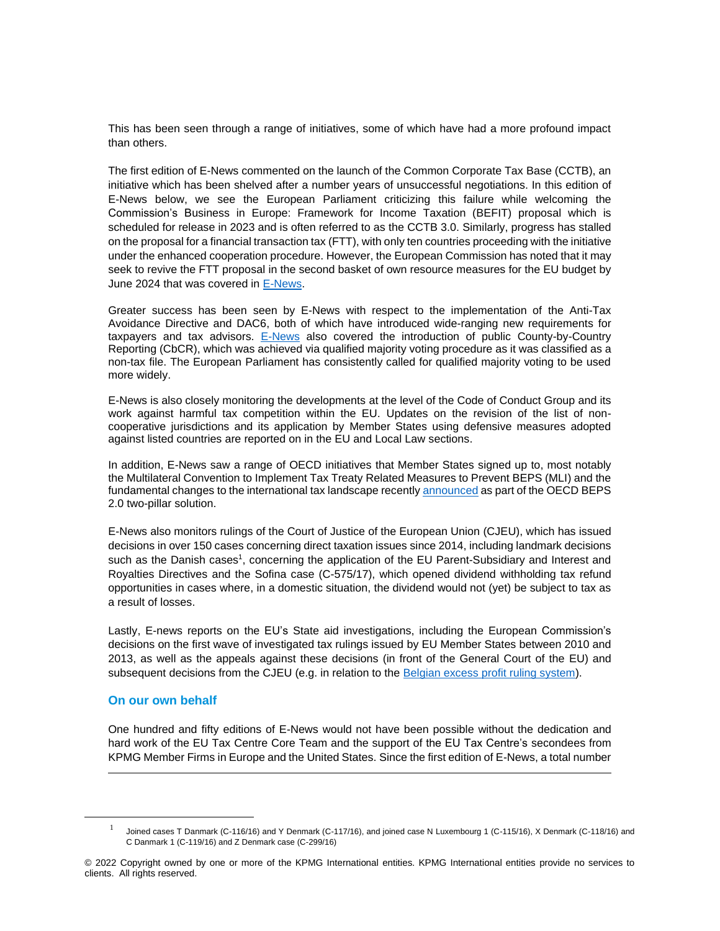This has been seen through a range of initiatives, some of which have had a more profound impact than others.

The first edition of E-News commented on the launch of the Common Corporate Tax Base (CCTB), an initiative which has been shelved after a number years of unsuccessful negotiations. In this edition of E-News below, we see the European Parliament criticizing this failure while welcoming the Commission's Business in Europe: Framework for Income Taxation (BEFIT) proposal which is scheduled for release in 2023 and is often referred to as the CCTB 3.0. Similarly, progress has stalled on the proposal for a financial transaction tax (FTT), with only ten countries proceeding with the initiative under the enhanced cooperation procedure. However, the European Commission has noted that it may seek to revive the FTT proposal in the second basket of own resource measures for the EU budget by June 2024 that was covered in [E-News.](https://home.kpmg/xx/en/home/insights/2022/01/e-news-146.html)

Greater success has been seen by E-News with respect to the implementation of the Anti-Tax Avoidance Directive and DAC6, both of which have introduced wide-ranging new requirements for taxpayers and tax advisors. [E-News](https://home.kpmg/xx/en/home/insights/2021/12/e-news-144.html) also covered the introduction of public County-by-Country Reporting (CbCR), which was achieved via qualified majority voting procedure as it was classified as a non-tax file. The European Parliament has consistently called for qualified majority voting to be used more widely.

E-News is also closely monitoring the developments at the level of the Code of Conduct Group and its work against harmful tax competition within the EU. Updates on the revision of the list of noncooperative jurisdictions and its application by Member States using defensive measures adopted against listed countries are reported on in the EU and Local Law sections.

In addition, E-News saw a range of OECD initiatives that Member States signed up to, most notably the Multilateral Convention to Implement Tax Treaty Related Measures to Prevent BEPS (MLI) and the fundamental changes to the international tax landscape recentl[y announced](https://home.kpmg/xx/en/home/insights/2021/12/e-news-145.html) as part of the OECD BEPS 2.0 two-pillar solution.

E-News also monitors rulings of the Court of Justice of the European Union (CJEU), which has issued decisions in over 150 cases concerning direct taxation issues since 2014, including landmark decisions such as the Danish cases<sup>1</sup>, concerning the application of the EU Parent-Subsidiary and Interest and Royalties Directives and the Sofina case (C-575/17), which opened dividend withholding tax refund opportunities in cases where, in a domestic situation, the dividend would not (yet) be subject to tax as a result of losses.

Lastly, E-news reports on the EU's State aid investigations, including the European Commission's decisions on the first wave of investigated tax rulings issued by EU Member States between 2010 and 2013, as well as the appeals against these decisions (in front of the General Court of the EU) and subsequent decisions from the CJEU (e.g. in relation to the [Belgian excess profit ruling system\)](https://home.kpmg/xx/en/home/insights/2021/09/e-news-139.html).

# **On our own behalf**

One hundred and fifty editions of E-News would not have been possible without the dedication and hard work of the EU Tax Centre Core Team and the support of the EU Tax Centre's secondees from KPMG Member Firms in Europe and the United States. Since the first edition of E-News, a total number

<sup>1</sup> Joined cases T Danmark (C-116/16) and Y Denmark (C-117/16), and joined case N Luxembourg 1 (C-115/16), X Denmark (C-118/16) and C Danmark 1 (C-119/16) and Z Denmark case (C-299/16)

<sup>© 2022</sup> Copyright owned by one or more of the KPMG International entities. KPMG International entities provide no services to clients. All rights reserved.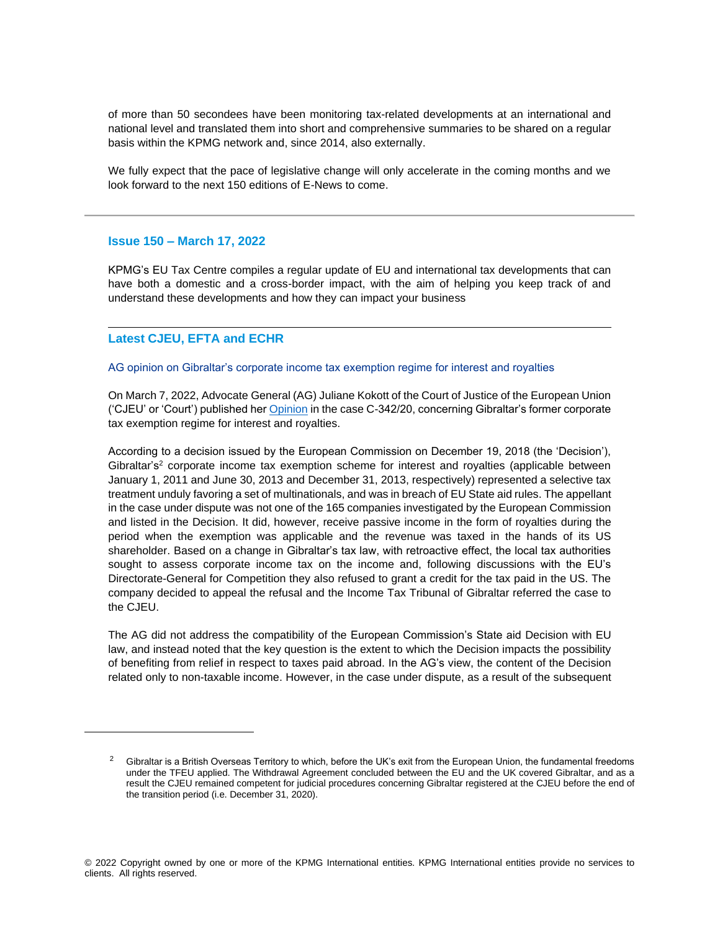of more than 50 secondees have been monitoring tax-related developments at an international and national level and translated them into short and comprehensive summaries to be shared on a regular basis within the KPMG network and, since 2014, also externally.

We fully expect that the pace of legislative change will only accelerate in the coming months and we look forward to the next 150 editions of E-News to come.

# **Issue 150 – March 17, 2022**

KPMG's EU Tax Centre compiles a regular update of EU and international tax developments that can have both a domestic and a cross-border impact, with the aim of helping you keep track of and understand these developments and how they can impact your business

# **Latest CJEU, EFTA and ECHR**

# AG opinion on Gibraltar's corporate income tax exemption regime for interest and royalties

On March 7, 2022, Advocate General (AG) Juliane Kokott of the Court of Justice of the European Union ('CJEU' or 'Court') published her [Opinion](https://curia.europa.eu/juris/document/document.jsf?text=&docid=255444&pageIndex=0&doclang=EN&mode=req&dir=&occ=first&part=1&cid=5404769) in the case C-342/20, concerning Gibraltar's former corporate tax exemption regime for interest and royalties.

According to a decision issued by the European Commission on December 19, 2018 (the 'Decision'), Gibraltar's<sup>2</sup> corporate income tax exemption scheme for interest and royalties (applicable between January 1, 2011 and June 30, 2013 and December 31, 2013, respectively) represented a selective tax treatment unduly favoring a set of multinationals, and was in breach of EU State aid rules. The appellant in the case under dispute was not one of the 165 companies investigated by the European Commission and listed in the Decision. It did, however, receive passive income in the form of royalties during the period when the exemption was applicable and the revenue was taxed in the hands of its US shareholder. Based on a change in Gibraltar's tax law, with retroactive effect, the local tax authorities sought to assess corporate income tax on the income and, following discussions with the EU's Directorate-General for Competition they also refused to grant a credit for the tax paid in the US. The company decided to appeal the refusal and the Income Tax Tribunal of Gibraltar referred the case to the CJEU.

The AG did not address the compatibility of the European Commission's State aid Decision with EU law, and instead noted that the key question is the extent to which the Decision impacts the possibility of benefiting from relief in respect to taxes paid abroad. In the AG's view, the content of the Decision related only to non-taxable income. However, in the case under dispute, as a result of the subsequent

 $2$  Gibraltar is a British Overseas Territory to which, before the UK's exit from the European Union, the fundamental freedoms under the TFEU applied. The Withdrawal Agreement concluded between the EU and the UK covered Gibraltar, and as a result the CJEU remained competent for judicial procedures concerning Gibraltar registered at the CJEU before the end of the transition period (i.e. December 31, 2020).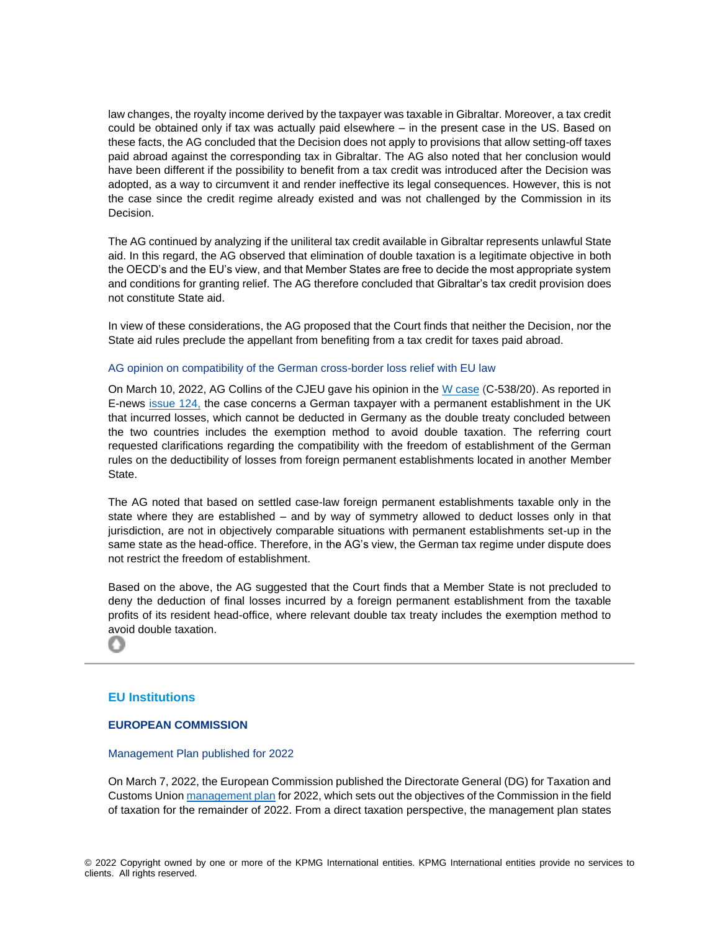law changes, the royalty income derived by the taxpayer was taxable in Gibraltar. Moreover, a tax credit could be obtained only if tax was actually paid elsewhere – in the present case in the US. Based on these facts, the AG concluded that the Decision does not apply to provisions that allow setting-off taxes paid abroad against the corresponding tax in Gibraltar. The AG also noted that her conclusion would have been different if the possibility to benefit from a tax credit was introduced after the Decision was adopted, as a way to circumvent it and render ineffective its legal consequences. However, this is not the case since the credit regime already existed and was not challenged by the Commission in its Decision.

The AG continued by analyzing if the uniliteral tax credit available in Gibraltar represents unlawful State aid. In this regard, the AG observed that elimination of double taxation is a legitimate objective in both the OECD's and the EU's view, and that Member States are free to decide the most appropriate system and conditions for granting relief. The AG therefore concluded that Gibraltar's tax credit provision does not constitute State aid.

In view of these considerations, the AG proposed that the Court finds that neither the Decision, nor the State aid rules preclude the appellant from benefiting from a tax credit for taxes paid abroad.

#### AG opinion on compatibility of the German cross-border loss relief with EU law

On March 10, 2022, AG Collins of the CJEU gave his opinion in the W [case](http://curia.europa.eu/juris/documents.jsf?oqp=&for=&mat=or&lgrec=fr&jge=&td=%3BALL&jur=C&num=C-538%252F20&page=1&dates=&pcs=Oor&lg=&pro=&nat=or&cit=none%252CC%252CCJ%252CR%252C2008E%252C%252C%252C%252C%252C%252C%252C%252C%252C%252Ctrue%252Cfalse%252Cfalse&language=en&avg=&cid=1787937) (C-538/20). As reported in E-news [issue 124,](https://home.kpmg/xx/en/home/insights/2021/01/e-news-124.html) the case concerns a German taxpayer with a permanent establishment in the UK that incurred losses, which cannot be deducted in Germany as the double treaty concluded between the two countries includes the exemption method to avoid double taxation. The referring court requested clarifications regarding the compatibility with the freedom of establishment of the German rules on the deductibility of losses from foreign permanent establishments located in another Member State.

The AG noted that based on settled case-law foreign permanent establishments taxable only in the state where they are established – and by way of symmetry allowed to deduct losses only in that jurisdiction, are not in objectively comparable situations with permanent establishments set-up in the same state as the head-office. Therefore, in the AG's view, the German tax regime under dispute does not restrict the freedom of establishment.

Based on the above, the AG suggested that the Court finds that a Member State is not precluded to deny the deduction of final losses incurred by a foreign permanent establishment from the taxable profits of its resident head-office, where relevant double tax treaty includes the exemption method to avoid double taxation.

# **EU Institutions**

o

# **EUROPEAN COMMISSION**

#### Management Plan published for 2022

On March 7, 2022, the European Commission published the Directorate General (DG) for Taxation and Customs Union [management plan](https://ec.europa.eu/info/system/files/taxud_mp_2022_en.pdf) for 2022, which sets out the objectives of the Commission in the field of taxation for the remainder of 2022. From a direct taxation perspective, the management plan states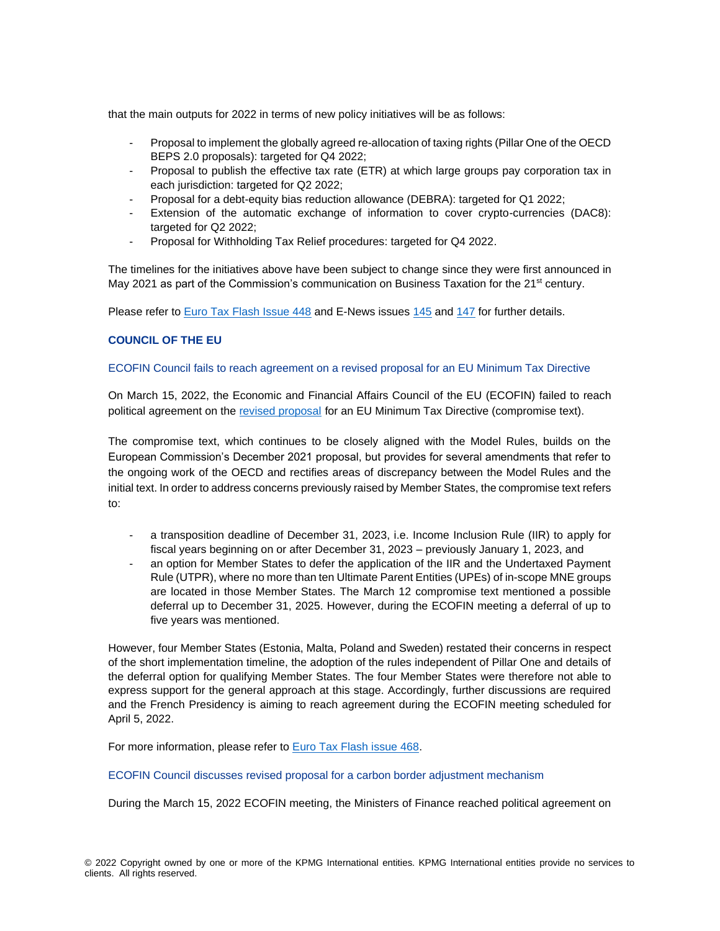that the main outputs for 2022 in terms of new policy initiatives will be as follows:

- Proposal to implement the globally agreed re-allocation of taxing rights (Pillar One of the OECD BEPS 2.0 proposals): targeted for Q4 2022;
- Proposal to publish the effective tax rate (ETR) at which large groups pay corporation tax in each jurisdiction: targeted for Q2 2022;
- Proposal for a debt-equity bias reduction allowance (DEBRA): targeted for Q1 2022;
- Extension of the automatic exchange of information to cover crypto-currencies (DAC8): targeted for Q2 2022;
- Proposal for Withholding Tax Relief procedures: targeted for Q4 2022.

The timelines for the initiatives above have been subject to change since they were first announced in May 2021 as part of the Commission's communication on Business Taxation for the 21<sup>st</sup> century.

Please refer to [Euro Tax Flash Issue 448](https://home.kpmg/xx/en/home/insights/2021/05/european-commission-communication-on-business-taxation-for-the-21st-century.html) and E-News issues [145](https://home.kpmg/xx/en/home/insights/2021/12/e-news-145.html) and [147](https://home.kpmg/xx/en/home/insights/2022/02/e-news-147.html) for further details.

# **COUNCIL OF THE EU**

# ECOFIN Council fails to reach agreement on a revised proposal for an EU Minimum Tax Directive

On March 15, 2022, the Economic and Financial Affairs Council of the EU (ECOFIN) failed to reach political agreement on the [revised proposal](https://urldefense.com/v3/__http:/link.kpmgmailers.com/ls/click?upn=LPP8073zsXZprV558WZizGMrtvUbXgT91xv-2B8J5aFLH6Rys3anYGVdt93oywDF3dzEY42tHv4bgKQrQMBQkYZWz1hM5TqMtlGD-2Bux-2BrRNoACN5qP6oJQXTcGmd7Ilw-2FZT-2FLfjFWZx4diJTtZu4ptIw-3D-3DKnkA_YoOSKr1NP1W8kCUEqdLsSwcPZCkDd8EuncG-2B-2BftgF7cQbv373CyRfPlaEZx1Y3vFlECuZ1U-2F5HvHqUlLA7NpNjnCBfZayPXefSzs-2Bs-2FkCyzm8KtSOg2x-2By6dt7dwRhEklj1Q0KrP5GCgPbMrjZtj6LGMtnvX-2FwUFiRA4ZKqedQmkjBhFOF1dDD5JzrYgxn1S-2B8ZhMhmKD69nnYtlcvbTzSdxqEmwRZa1rYN4JaBpFzg-3D__;!!E1R1dd1bLLODlQ4!T7vQLcVJZlz1mruo065UOl6_W-GQ_-Ypli7ab2cqenIFHQOaAiOHbkwqnTvD0tB_QE7ywGc4$) for an EU Minimum Tax Directive (compromise text).

The compromise text, which continues to be closely aligned with the Model Rules, builds on the European Commission's December 2021 proposal, but provides for several amendments that refer to the ongoing work of the OECD and rectifies areas of discrepancy between the Model Rules and the initial text. In order to address concerns previously raised by Member States, the compromise text refers to:

- a transposition deadline of December 31, 2023, i.e. Income Inclusion Rule (IIR) to apply for fiscal years beginning on or after December 31, 2023 – previously January 1, 2023, and
- an option for Member States to defer the application of the IIR and the Undertaxed Payment Rule (UTPR), where no more than ten Ultimate Parent Entities (UPEs) of in-scope MNE groups are located in those Member States. The March 12 compromise text mentioned a possible deferral up to December 31, 2025. However, during the ECOFIN meeting a deferral of up to five years was mentioned.

However, four Member States (Estonia, Malta, Poland and Sweden) restated their concerns in respect of the short implementation timeline, the adoption of the rules independent of Pillar One and details of the deferral option for qualifying Member States. The four Member States were therefore not able to express support for the general approach at this stage. Accordingly, further discussions are required and the French Presidency is aiming to reach agreement during the ECOFIN meeting scheduled for April 5, 2022.

For more information, please refer to [Euro Tax Flash issue 468.](https://home.kpmg/xx/en/home/insights/2022/03/etf-468-ecofin-fails-to-reach-agreement-on-revised-proposal-for-an-eu-minimum-tax-directive.html)

# ECOFIN Council discusses revised proposal for a carbon border adjustment mechanism

During the March 15, 2022 ECOFIN meeting, the Ministers of Finance reached political agreement on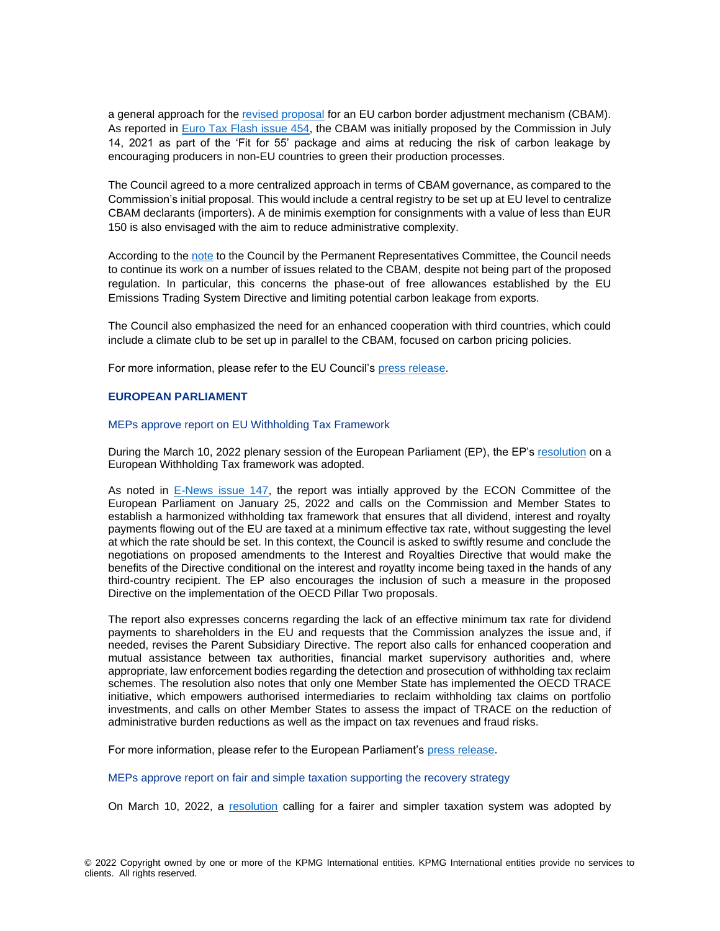a general approach for the [revised proposal](https://data.consilium.europa.eu/doc/document/ST-7044-2022-INIT/en/pdf) for an EU carbon border adjustment mechanism (CBAM). As reported in [Euro Tax Flash issue 454,](https://home.kpmg/xx/en/home/insights/2021/07/etf-454-european-commission-proposes-a-series-of-carbon-pricing-reforms.html) the CBAM was initially proposed by the Commission in July 14, 2021 as part of the 'Fit for 55' package and aims at reducing the risk of carbon leakage by encouraging producers in non-EU countries to green their production processes.

The Council agreed to a more centralized approach in terms of CBAM governance, as compared to the Commission's initial proposal. This would include a central registry to be set up at EU level to centralize CBAM declarants (importers). A de minimis exemption for consignments with a value of less than EUR 150 is also envisaged with the aim to reduce administrative complexity.

According to the [note](https://data.consilium.europa.eu/doc/document/ST-6978-2022-INIT/en/pdf) to the Council by the Permanent Representatives Committee, the Council needs to continue its work on a number of issues related to the CBAM, despite not being part of the proposed regulation. In particular, this concerns the phase-out of free allowances established by the EU Emissions Trading System Directive and limiting potential carbon leakage from exports.

The Council also emphasized the need for an enhanced cooperation with third countries, which could include a climate club to be set up in parallel to the CBAM, focused on carbon pricing policies.

For more information, please refer to the EU Council's [press release.](https://www.consilium.europa.eu/en/press/press-releases/2022/03/15/carbon-border-adjustment-mechanism-cbam-council-agrees-its-negotiating-mandate/)

#### **EUROPEAN PARLIAMENT**

#### MEPs approve report on EU Withholding Tax Framework

During the March 10, 2022 plenary session of the European Parliament (EP), the EP's [resolution](https://www.europarl.europa.eu/doceo/document/A-9-2022-0011_EN.html) on a European Withholding Tax framework was adopted.

As noted in [E-News issue 147,](https://home.kpmg/xx/en/home/insights/2022/02/e-news-147.html) the report was intially approved by the ECON Committee of the European Parliament on January 25, 2022 and calls on the Commission and Member States to establish a harmonized withholding tax framework that ensures that all dividend, interest and royalty payments flowing out of the EU are taxed at a minimum effective tax rate, without suggesting the level at which the rate should be set. In this context, the Council is asked to swiftly resume and conclude the negotiations on proposed amendments to the Interest and Royalties Directive that would make the benefits of the Directive conditional on the interest and royatlty income being taxed in the hands of any third-country recipient. The EP also encourages the inclusion of such a measure in the proposed Directive on the implementation of the OECD Pillar Two proposals.

The report also expresses concerns regarding the lack of an effective minimum tax rate for dividend payments to shareholders in the EU and requests that the Commission analyzes the issue and, if needed, revises the Parent Subsidiary Directive. The report also calls for enhanced cooperation and mutual assistance between tax authorities, financial market supervisory authorities and, where appropriate, law enforcement bodies regarding the detection and prosecution of withholding tax reclaim schemes. The resolution also notes that only one Member State has implemented the OECD TRACE initiative, which empowers authorised intermediaries to reclaim withholding tax claims on portfolio investments, and calls on other Member States to assess the impact of TRACE on the reduction of administrative burden reductions as well as the impact on tax revenues and fraud risks.

For more information, please refer to the European Parliament's [press release.](https://www.europarl.europa.eu/news/en/press-room/20220307IPR24930/meps-adopt-recommendations-on-reforming-withholding-taxes-simpler-tax-systems)

MEPs approve report on fair and simple taxation supporting the recovery strategy

On March 10, 2022, a [resolution](https://www.europarl.europa.eu/doceo/document/A-9-2022-0024_EN.html) calling for a fairer and simpler taxation system was adopted by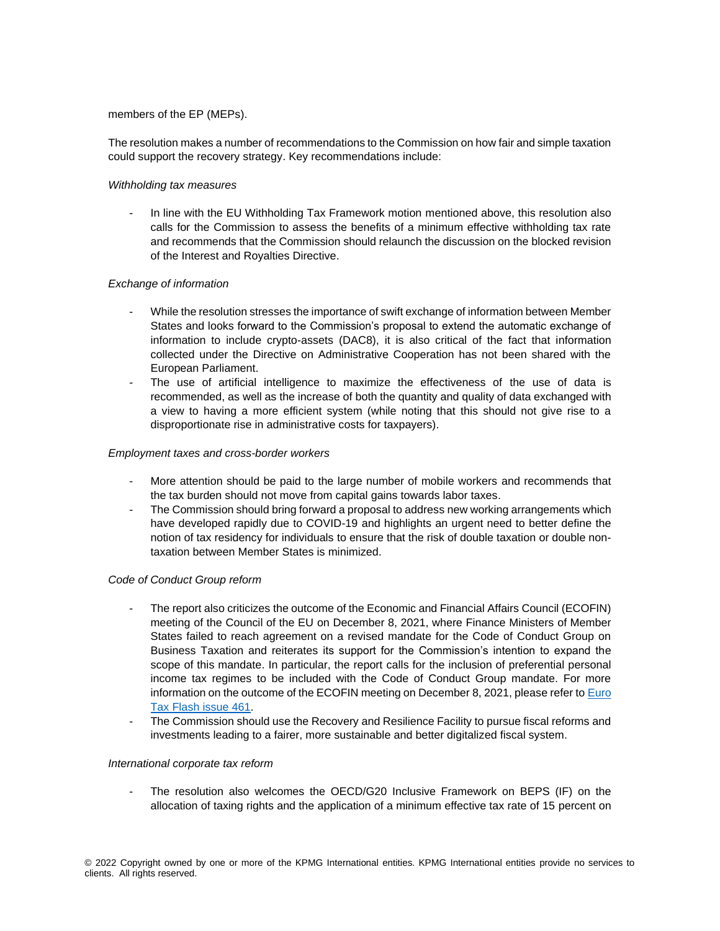# members of the EP (MEPs).

The resolution makes a number of recommendations to the Commission on how fair and simple taxation could support the recovery strategy. Key recommendations include:

# *Withholding tax measures*

- In line with the EU Withholding Tax Framework motion mentioned above, this resolution also calls for the Commission to assess the benefits of a minimum effective withholding tax rate and recommends that the Commission should relaunch the discussion on the blocked revision of the Interest and Royalties Directive.

# *Exchange of information*

- While the resolution stresses the importance of swift exchange of information between Member States and looks forward to the Commission's proposal to extend the automatic exchange of information to include crypto-assets (DAC8), it is also critical of the fact that information collected under the Directive on Administrative Cooperation has not been shared with the European Parliament.
- The use of artificial intelligence to maximize the effectiveness of the use of data is recommended, as well as the increase of both the quantity and quality of data exchanged with a view to having a more efficient system (while noting that this should not give rise to a disproportionate rise in administrative costs for taxpayers).

# *Employment taxes and cross-border workers*

- More attention should be paid to the large number of mobile workers and recommends that the tax burden should not move from capital gains towards labor taxes.
- The Commission should bring forward a proposal to address new working arrangements which have developed rapidly due to COVID-19 and highlights an urgent need to better define the notion of tax residency for individuals to ensure that the risk of double taxation or double nontaxation between Member States is minimized.

# *Code of Conduct Group reform*

- The report also criticizes the outcome of the Economic and Financial Affairs Council (ECOFIN) meeting of the Council of the EU on December 8, 2021, where Finance Ministers of Member States failed to reach agreement on a revised mandate for the Code of Conduct Group on Business Taxation and reiterates its support for the Commission's intention to expand the scope of this mandate. In particular, the report calls for the inclusion of preferential personal income tax regimes to be included with the Code of Conduct Group mandate. For more information on the outcome of the ECOFIN meeting on December 8, 2021, please refer to [Euro](https://home.kpmg/xx/en/home/insights/2021/12/etf-461-eu-code-of-conduct-group-reports-to-ecofin.html)  [Tax Flash issue 461.](https://home.kpmg/xx/en/home/insights/2021/12/etf-461-eu-code-of-conduct-group-reports-to-ecofin.html)
- The Commission should use the Recovery and Resilience Facility to pursue fiscal reforms and investments leading to a fairer, more sustainable and better digitalized fiscal system.

# *International corporate tax reform*

- The resolution also welcomes the OECD/G20 Inclusive Framework on BEPS (IF) on the allocation of taxing rights and the application of a minimum effective tax rate of 15 percent on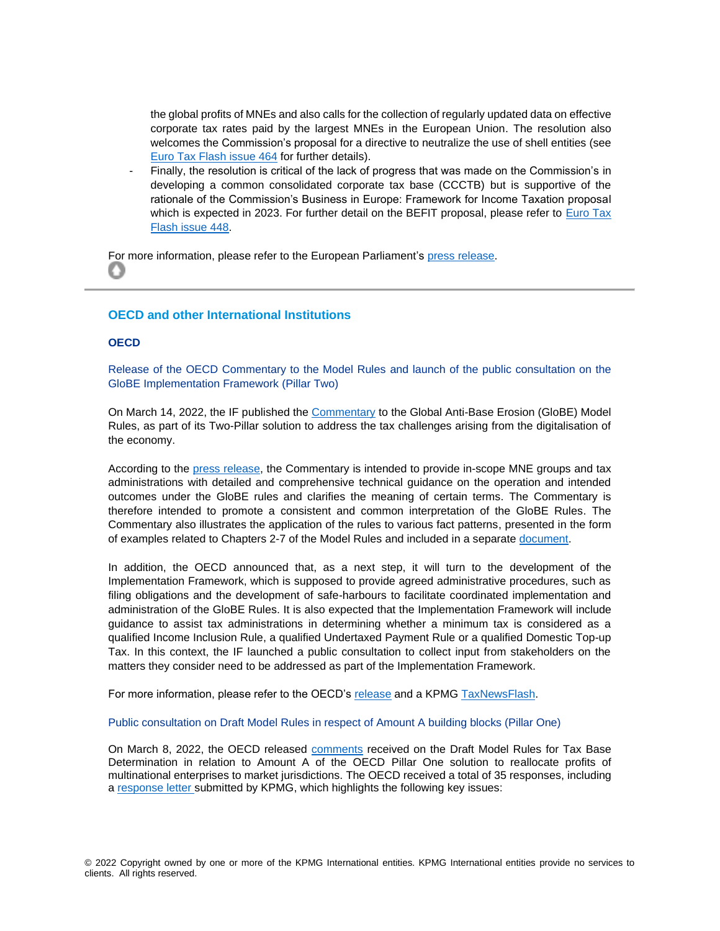the global profits of MNEs and also calls for the collection of regularly updated data on effective corporate tax rates paid by the largest MNEs in the European Union. The resolution also welcomes the Commission's proposal for a directive to neutralize the use of shell entities (see [Euro Tax Flash issue 464](https://home.kpmg/xx/en/home/insights/2021/12/etf-464-european-commission-proposes-directive-to-neutralize-misuse-of-shell-entities-for-tax-purposes.html) for further details).

Finally, the resolution is critical of the lack of progress that was made on the Commission's in developing a common consolidated corporate tax base (CCCTB) but is supportive of the rationale of the Commission's Business in Europe: Framework for Income Taxation proposal which is expected in 2023. For further detail on the BEFIT proposal, please refer to Euro Tax [Flash issue 448.](https://home.kpmg/xx/en/home/insights/2021/05/european-commission-communication-on-business-taxation-for-the-21st-century.html)

For more information, please refer to the European Parliament's [press release.](https://www.europarl.europa.eu/news/en/press-room/20220307IPR24930/meps-adopt-recommendations-on-reforming-withholding-taxes-simpler-tax-systems) O

# <span id="page-7-0"></span>**OECD and other International Institutions**

# **OECD**

Release of the OECD Commentary to the Model Rules and launch of the public consultation on the GloBE Implementation Framework (Pillar Two)

On March 14, 2022, the IF published the [Commentary](https://www.oecd.org/tax/beps/tax-challenges-arising-from-the-digitalisation-of-the-economy-global-anti-base-erosion-model-rules-pillar-two-commentary.pdf) to the Global Anti-Base Erosion (GloBE) Model Rules, as part of its Two-Pillar solution to address the tax challenges arising from the digitalisation of the economy.

According to the [press release,](https://www.oecd.org/tax/beps/oecd-releases-detailed-technical-guidance-on-the-pillar-two-model-rules-for-15-percent-global-minimum-tax.htm) the Commentary is intended to provide in-scope MNE groups and tax administrations with detailed and comprehensive technical guidance on the operation and intended outcomes under the GloBE rules and clarifies the meaning of certain terms. The Commentary is therefore intended to promote a consistent and common interpretation of the GloBE Rules. The Commentary also illustrates the application of the rules to various fact patterns, presented in the form of examples related to Chapters 2-7 of the Model Rules and included in a separat[e document.](https://www.oecd.org/tax/beps/tax-challenges-arising-from-the-digitalisation-of-the-economy-global-anti-base-erosion-model-rules-pillar-two-examples.pdf)

In addition, the OECD announced that, as a next step, it will turn to the development of the Implementation Framework, which is supposed to provide agreed administrative procedures, such as filing obligations and the development of safe-harbours to facilitate coordinated implementation and administration of the GloBE Rules. It is also expected that the Implementation Framework will include guidance to assist tax administrations in determining whether a minimum tax is considered as a qualified Income Inclusion Rule, a qualified Undertaxed Payment Rule or a qualified Domestic Top-up Tax. In this context, the IF launched a public consultation to collect input from stakeholders on the matters they consider need to be addressed as part of the Implementation Framework.

For more information, please refer to the OECD's [release](https://www.oecd.org/tax/beps/oecd-invites-public-input-on-the-implementation-framework-of-the-global-minimum-tax.htm) and a KPMG [TaxNewsFlash.](https://home.kpmg/us/en/home/insights/2022/03/tnf-oecd-commentary-pillar-two-model-rules-domestic-implementation-global-minimum-tax.html)

Public consultation on Draft Model Rules in respect of Amount A building blocks (Pillar One)

On March 8, 2022, the OECD released [comments](https://www.dropbox.com/s/l78ls9tzno2p8jx/public-comments-pillar-one-amount-a-tax-base-determinations.zip?dl=0) received on the Draft Model Rules for Tax Base Determination in relation to Amount A of the OECD Pillar One solution to reallocate profits of multinational enterprises to market jurisdictions. The OECD received a total of 35 responses, including a [response letter](https://assets.kpmg/content/dam/kpmg/xx/pdf/2022/03/kpmg-contribution-minimum-tax-directive-eu-consultation.pdf) submitted by KPMG, which highlights the following key issues: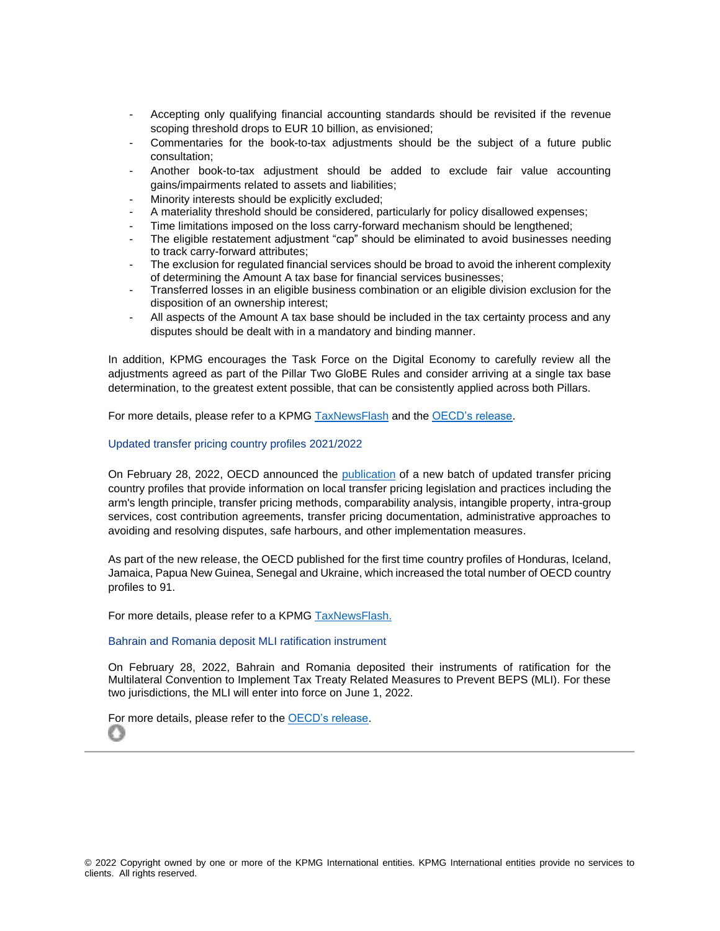- Accepting only qualifying financial accounting standards should be revisited if the revenue scoping threshold drops to EUR 10 billion, as envisioned;
- Commentaries for the book-to-tax adjustments should be the subject of a future public consultation;
- Another book-to-tax adjustment should be added to exclude fair value accounting gains/impairments related to assets and liabilities;
- Minority interests should be explicitly excluded:
- A materiality threshold should be considered, particularly for policy disallowed expenses;
- Time limitations imposed on the loss carry-forward mechanism should be lengthened;
- The eligible restatement adjustment "cap" should be eliminated to avoid businesses needing to track carry-forward attributes;
- The exclusion for regulated financial services should be broad to avoid the inherent complexity of determining the Amount A tax base for financial services businesses;
- Transferred losses in an eligible business combination or an eligible division exclusion for the disposition of an ownership interest;
- All aspects of the Amount A tax base should be included in the tax certainty process and any disputes should be dealt with in a mandatory and binding manner.

In addition, KPMG encourages the Task Force on the Digital Economy to carefully review all the adjustments agreed as part of the Pillar Two GloBE Rules and consider arriving at a single tax base determination, to the greatest extent possible, that can be consistently applied across both Pillars.

For more details, please refer to a KPMG [TaxNewsFlash](https://home.kpmg/us/en/home/insights/2022/03/tnf-oecd-comments-on-draft-model-rules-for-tax-base-determinations-under-pillar-one-amount-a.html) and th[e OECD's release.](https://www.oecd.org/tax/beps/public-comments-received-on-the-draft-rules-for-tax-base-determinations-under-pillar-one-amount-a.htm)

#### Updated transfer pricing country profiles 2021/2022

On February 28, 2022, OECD announced the [publication](https://www.oecd.org/tax/transfer-pricing/transfer-pricing-country-profiles.htm) of a new batch of updated transfer pricing country profiles that provide information on local transfer pricing legislation and practices including the arm's length principle, transfer pricing methods, comparability analysis, intangible property, intra-group services, cost contribution agreements, transfer pricing documentation, administrative approaches to avoiding and resolving disputes, safe harbours, and other implementation measures.

As part of the new release, the OECD published for the first time country profiles of Honduras, Iceland, Jamaica, Papua New Guinea, Senegal and Ukraine, which increased the total number of OECD country profiles to 91.

For more details, please refer to a KPMG [TaxNewsFlash.](https://home.kpmg/us/en/home/insights/2022/02/tnf-oecd-third-batch-2021-2022-updated-transfer-pricing-country-profiles.html)

#### Bahrain and Romania deposit MLI ratification instrument

On February 28, 2022, Bahrain and Romania deposited their instruments of ratification for the Multilateral Convention to Implement Tax Treaty Related Measures to Prevent BEPS (MLI). For these two jurisdictions, the MLI will enter into force on June 1, 2022.

[For m](#page-0-0)ore details, please refer to the [OECD's release.](https://www.oecd.org/tax/beps/bahrain-and-romania-deposit-instruments-for-the-ratification-of-the-multilateral-beps-convention.htm)Ω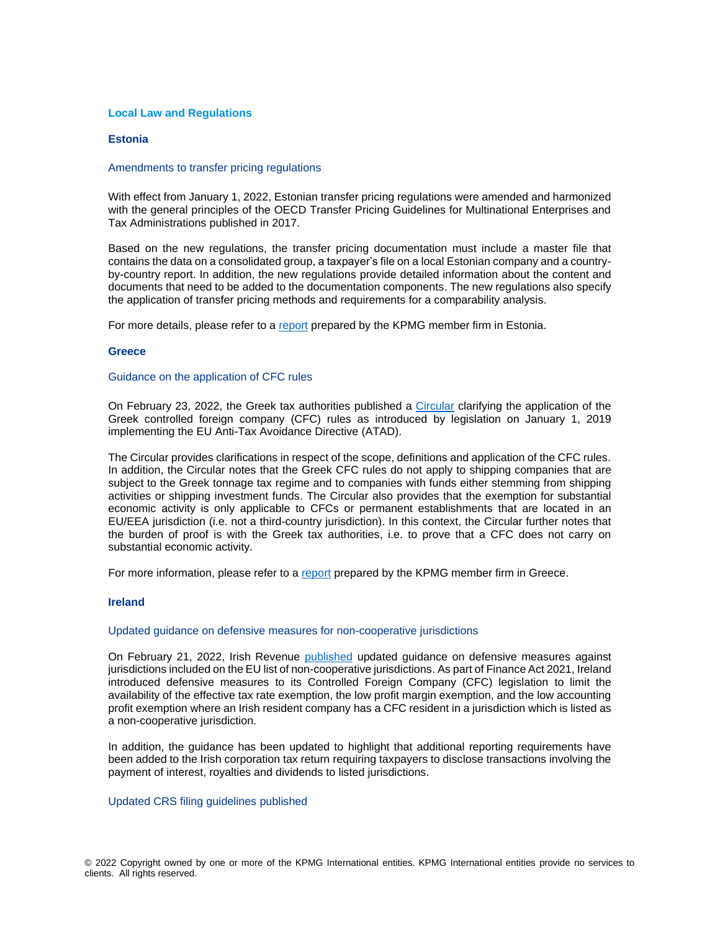#### <span id="page-9-0"></span>**Local Law and Regulations**

#### **Estonia**

#### Amendments to transfer pricing regulations

With effect from January 1, 2022, Estonian transfer pricing regulations were amended and harmonized with the general principles of the OECD Transfer Pricing Guidelines for Multinational Enterprises and Tax Administrations published in 2017.

Based on the new regulations, the transfer pricing documentation must include a master file that contains the data on a consolidated group, a taxpayer's file on a local Estonian company and a countryby-country report. In addition, the new regulations provide detailed information about the content and documents that need to be added to the documentation components. The new regulations also specify the application of transfer pricing methods and requirements for a comparability analysis.

For more details, please refer to a [report](https://home.kpmg/ee/en/home/insights/2022/03/infocourier---march-2022.html) prepared by the KPMG member firm in Estonia.

#### **Greece**

#### Guidance on the application of CFC rules

On February 23, 2022, the Greek tax authorities published a [Circular](https://www.aade.gr/egkyklioi-kai-apofaseis/e-2018-23-02-2022) clarifying the application of the Greek controlled foreign company (CFC) rules as introduced by legislation on January 1, 2019 implementing the EU Anti-Tax Avoidance Directive (ATAD).

The Circular provides clarifications in respect of the scope, definitions and application of the CFC rules. In addition, the Circular notes that the Greek CFC rules do not apply to shipping companies that are subject to the Greek tonnage tax regime and to companies with funds either stemming from shipping activities or shipping investment funds. The Circular also provides that the exemption for substantial economic activity is only applicable to CFCs or permanent establishments that are located in an EU/EEA jurisdiction (i.e. not a third-country jurisdiction). In this context, the Circular further notes that the burden of proof is with the Greek tax authorities, i.e. to prove that a CFC does not carry on substantial economic activity.

For more information, please refer to a [report](https://assets.kpmg/content/dam/kpmg/gr/pdf/2022/03/tax-updates-14032022-en.pdf) prepared by the KPMG member firm in Greece.

#### **Ireland**

#### Updated guidance on defensive measures for non-cooperative jurisdictions

On February 21, 2022, Irish Revenue [published](https://www.revenue.ie/en/tax-professionals/ebrief/2022/no-0392022.aspx) updated guidance on defensive measures against jurisdictions included on the EU list of non-cooperative jurisdictions. As part of Finance Act 2021, Ireland introduced defensive measures to its Controlled Foreign Company (CFC) legislation to limit the availability of the effective tax rate exemption, the low profit margin exemption, and the low accounting profit exemption where an Irish resident company has a CFC resident in a jurisdiction which is listed as a non-cooperative jurisdiction.

In addition, the guidance has been updated to highlight that additional reporting requirements have been added to the Irish corporation tax return requiring taxpayers to disclose transactions involving the payment of interest, royalties and dividends to listed jurisdictions.

# Updated CRS filing guidelines published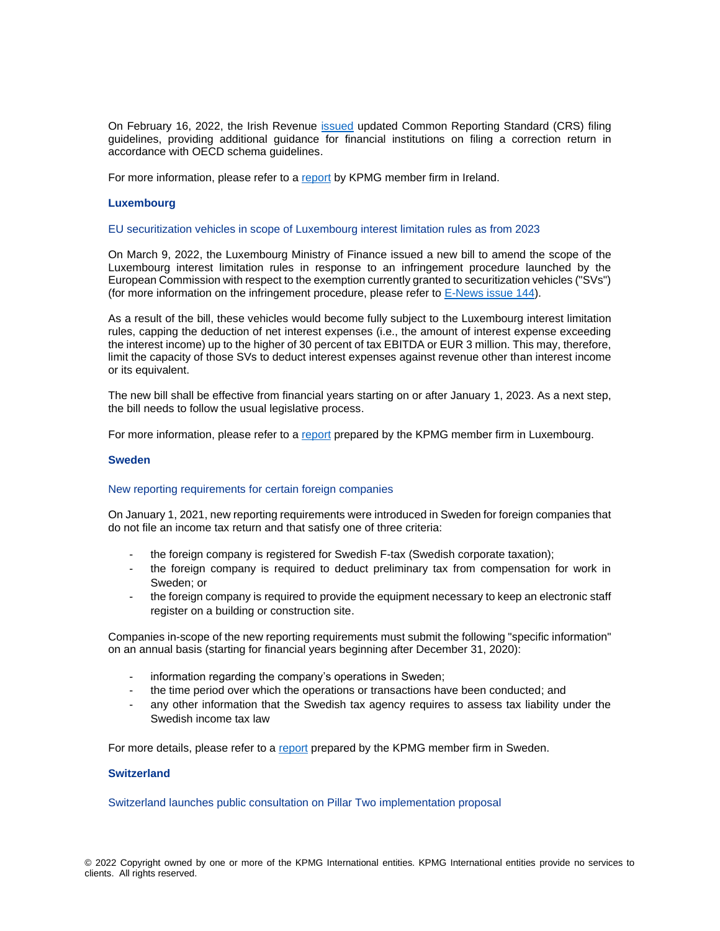On February 16, 2022, the Irish Revenue [issued](https://www.revenue.ie/en/tax-professionals/tdm/income-tax-capital-gains-tax-corporation-tax/part-38/38-03-26.pdf) updated Common Reporting Standard (CRS) filing guidelines, providing additional guidance for financial institutions on filing a correction return in accordance with OECD schema guidelines.

For more information, please refer to a [report](https://assets.kpmg/content/dam/kpmg/us/pdf/2022/03/tnf-fatca-ireland-mar1-2022.pdf) by KPMG member firm in Ireland.

#### **Luxembourg**

#### EU securitization vehicles in scope of Luxembourg interest limitation rules as from 2023

On March 9, 2022, the Luxembourg Ministry of Finance issued a new bill to amend the scope of the Luxembourg interest limitation rules in response to an infringement procedure launched by the European Commission with respect to the exemption currently granted to securitization vehicles ("SVs") (for more information on the infringement procedure, please refer to [E-News issue 144\)](https://home.kpmg/xx/en/home/insights/2021/12/e-news-144.html).

As a result of the bill, these vehicles would become fully subject to the Luxembourg interest limitation rules, capping the deduction of net interest expenses (i.e., the amount of interest expense exceeding the interest income) up to the higher of 30 percent of tax EBITDA or EUR 3 million. This may, therefore, limit the capacity of those SVs to deduct interest expenses against revenue other than interest income or its equivalent.

The new bill shall be effective from financial years starting on or after January 1, 2023. As a next step, the bill needs to follow the usual legislative process.

For more information, please refer to a [report](https://home.kpmg/lu/en/home/insights/2022/03/eu-securitization-vehicles-in-scope-of-luxembourg-interest-limitation-rules-as-from-2023.html) prepared by the KPMG member firm in Luxembourg.

#### **Sweden**

#### New reporting requirements for certain foreign companies

On January 1, 2021, new reporting requirements were introduced in Sweden for foreign companies that do not file an income tax return and that satisfy one of three criteria:

- the foreign company is registered for Swedish F-tax (Swedish corporate taxation);
- the foreign company is required to deduct preliminary tax from compensation for work in Sweden; or
- the foreign company is required to provide the equipment necessary to keep an electronic staff register on a building or construction site.

Companies in-scope of the new reporting requirements must submit the following "specific information" on an annual basis (starting for financial years beginning after December 31, 2020):

- information regarding the company's operations in Sweden;
- the time period over which the operations or transactions have been conducted; and
- any other information that the Swedish tax agency requires to assess tax liability under the Swedish income tax law

For more details, please refer to a [report](https://home.kpmg/se/sv/home/nyheter-rapporter/2022/03/se-news-requirement-for-foreign-companies-to-file-specific-information.html) prepared by the KPMG member firm in Sweden.

# **Switzerland**

Switzerland launches public consultation on Pillar Two implementation proposal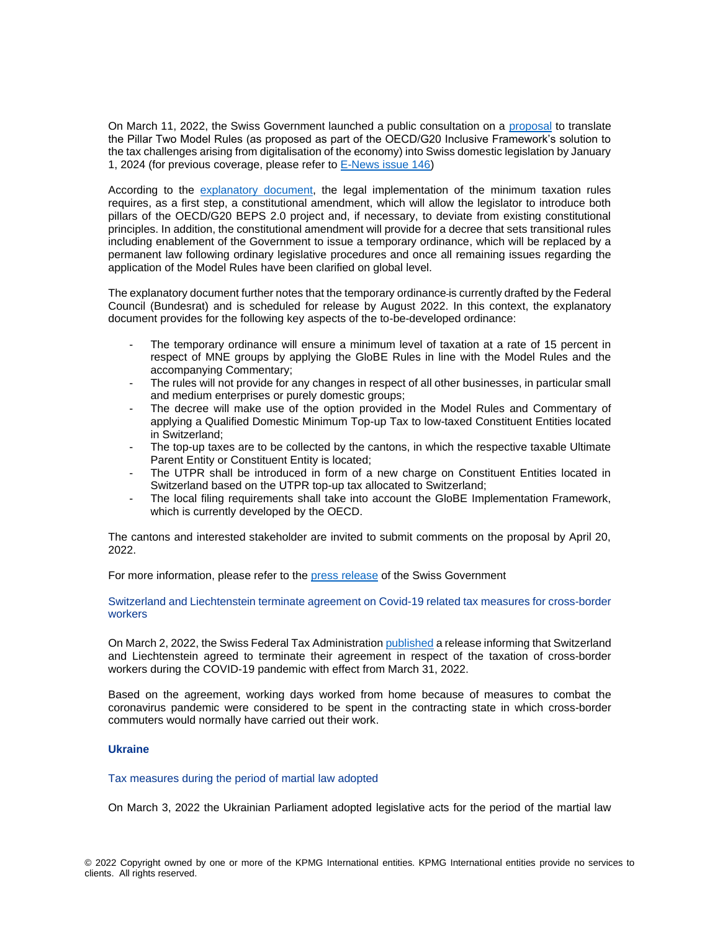On March 11, 2022, the Swiss Government launched a public consultation on a [proposal](https://www.newsd.admin.ch/newsd/message/attachments/70597.pdf) to translate the Pillar Two Model Rules (as proposed as part of the OECD/G20 Inclusive Framework's solution to the tax challenges arising from digitalisation of the economy) into Swiss domestic legislation by January 1, 2024 (for previous coverage, please refer to [E-News issue 146\)](https://home.kpmg/xx/en/home/insights/2022/01/e-news-146.html)

According to the [explanatory](https://www.newsd.admin.ch/newsd/message/attachments/70598.pdf) document, the legal implementation of the minimum taxation rules requires, as a first step, a constitutional amendment, which will allow the legislator to introduce both pillars of the OECD/G20 BEPS 2.0 project and, if necessary, to deviate from existing constitutional principles. In addition, the constitutional amendment will provide for a decree that sets transitional rules including enablement of the Government to issue a temporary ordinance, which will be replaced by a permanent law following ordinary legislative procedures and once all remaining issues regarding the application of the Model Rules have been clarified on global level.

The explanatory document further notes that the temporary ordinance is currently drafted by the Federal Council (Bundesrat) and is scheduled for release by August 2022. In this context, the explanatory document provides for the following key aspects of the to-be-developed ordinance:

- The temporary ordinance will ensure a minimum level of taxation at a rate of 15 percent in respect of MNE groups by applying the GloBE Rules in line with the Model Rules and the accompanying Commentary;
- The rules will not provide for any changes in respect of all other businesses, in particular small and medium enterprises or purely domestic groups;
- The decree will make use of the option provided in the Model Rules and Commentary of applying a Qualified Domestic Minimum Top-up Tax to low-taxed Constituent Entities located in Switzerland;
- The top-up taxes are to be collected by the cantons, in which the respective taxable Ultimate Parent Entity or Constituent Entity is located;
- The UTPR shall be introduced in form of a new charge on Constituent Entities located in Switzerland based on the UTPR top-up tax allocated to Switzerland;
- The local filing requirements shall take into account the GloBE Implementation Framework, which is currently developed by the OECD.

The cantons and interested stakeholder are invited to submit comments on the proposal by April 20, 2022.

For more information, please refer to the [press release](https://www.admin.ch/gov/de/start/dokumentation/medienmitteilungen.msg-id-87569.html) of the Swiss Government

#### Switzerland and Liechtenstein terminate agreement on Covid-19 related tax measures for cross-border workers

On March 2, 2022, the Swiss Federal Tax Administratio[n published](https://www.estv.admin.ch/estv/fr/accueil/droit-fiscal-international/international-par-pays/sif/liechtenstein.html#-490505228) a release informing that Switzerland and Liechtenstein agreed to terminate their agreement in respect of the taxation of cross-border workers during the COVID-19 pandemic with effect from March 31, 2022.

Based on the agreement, working days worked from home because of measures to combat the coronavirus pandemic were considered to be spent in the contracting state in which cross-border commuters would normally have carried out their work.

# **Ukraine**

#### Tax measures during the period of martial law adopted

On March 3, 2022 the Ukrainian Parliament adopted legislative acts for the period of the martial law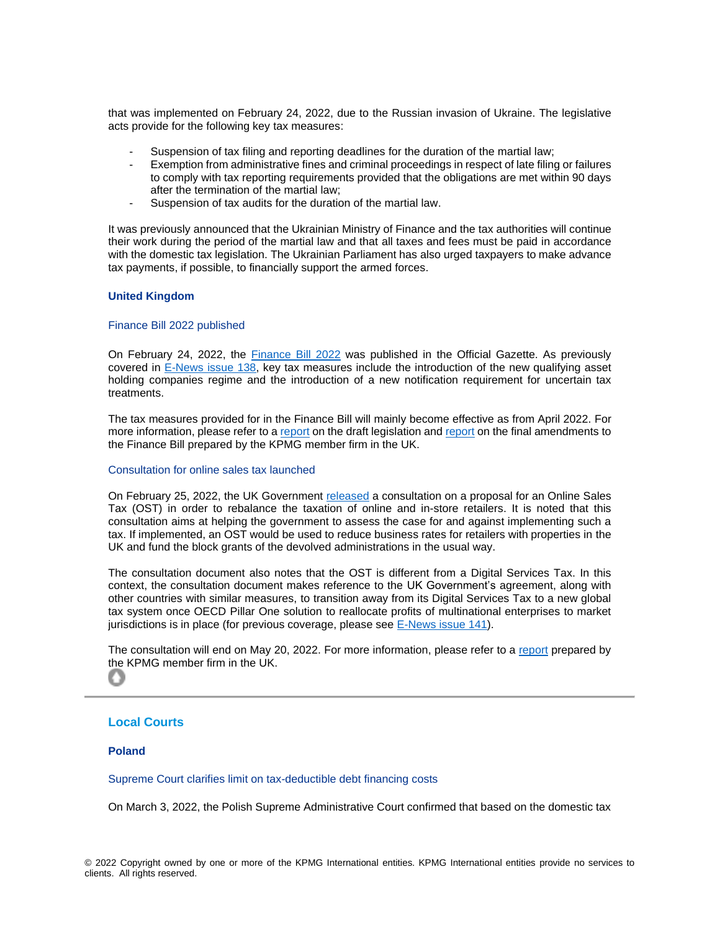that was implemented on February 24, 2022, due to the Russian invasion of Ukraine. The legislative acts provide for the following key tax measures:

- Suspension of tax filing and reporting deadlines for the duration of the martial law;
- Exemption from administrative fines and criminal proceedings in respect of late filing or failures to comply with tax reporting requirements provided that the obligations are met within 90 days after the termination of the martial law;
- Suspension of tax audits for the duration of the martial law.

It was previously announced that the Ukrainian Ministry of Finance and the tax authorities will continue their work during the period of the martial law and that all taxes and fees must be paid in accordance with the domestic tax legislation. The Ukrainian Parliament has also urged taxpayers to make advance tax payments, if possible, to financially support the armed forces.

#### **United Kingdom**

#### Finance Bill 2022 published

On February 24, 2022, the [Finance Bill](https://www.legislation.gov.uk/ukpga/2022/3/enacted) 2022 was published in the Official Gazette. As previously covered in [E-News issue 138,](https://home.kpmg/xx/en/home/insights/2021/08/e-news-138.html) key tax measures include the introduction of the new qualifying asset holding companies regime and the introduction of a new notification requirement for uncertain tax treatments.

The tax measures provided for in the Finance Bill will mainly become effective as from April 2022. For more information, please refer to a [report](https://home.kpmg/uk/en/home/insights/2021/08/tmd-l-day-2021.html) on the draft legislation and [report](https://home.kpmg/uk/en/home/insights/2022/02/tmd-fb-22-final-amendments-now-passed-including-a-new-tax-on-energy-retailers.html) on the final amendments to the Finance Bill prepared by the KPMG member firm in the UK.

#### Consultation for online sales tax launched

On February 25, 2022, the UK Government [released](https://www.gov.uk/government/news/uk-government-to-assess-whether-online-sales-tax-could-address-tax-imbalance-reported-by-retail-sector) a consultation on a proposal for an Online Sales Tax (OST) in order to rebalance the taxation of online and in-store retailers. It is noted that this consultation aims at helping the government to assess the case for and against implementing such a tax. If implemented, an OST would be used to reduce business rates for retailers with properties in the UK and fund the block grants of the devolved administrations in the usual way.

The consultation document also notes that the OST is different from a Digital Services Tax. In this context, the consultation document makes reference to the UK Government's agreement, along with other countries with similar measures, to transition away from its Digital Services Tax to a new global tax system once OECD Pillar One solution to reallocate profits of multinational enterprises to market jurisdictions is in place (for previous coverage, please see [E-News issue 141\)](https://home.kpmg/xx/en/home/insights/2021/10/e-news-141.html).

The consultation will end on May 20, 2022. For more information, please refer to a [report](https://home.kpmg/uk/en/home/insights/2022/03/tmd-consultation-on-online-sales-tax-released.html) prepared by [the](#page-0-0) KPMG member firm in the UK. O

#### <span id="page-12-0"></span>**Local Courts**

#### **Poland**

Supreme Court clarifies limit on tax-deductible debt financing costs

On March 3, 2022, the Polish Supreme Administrative Court confirmed that based on the domestic tax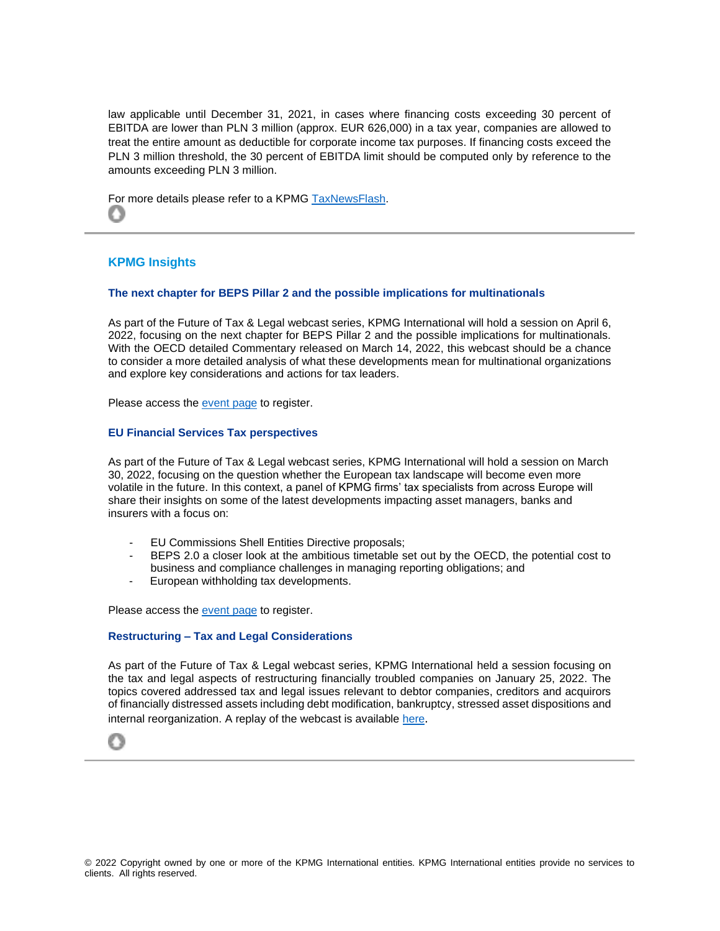law applicable until December 31, 2021, in cases where financing costs exceeding 30 percent of EBITDA are lower than PLN 3 million (approx. EUR 626,000) in a tax year, companies are allowed to treat the entire amount as deductible for corporate income tax purposes. If financing costs exceed the PLN 3 million threshold, the 30 percent of EBITDA limit should be computed only by reference to the amounts exceeding PLN 3 million.

For more details please refer to a KPMG [TaxNewsFlash.](https://home.kpmg/us/en/home/insights/2022/03/tnf-poland-limit-on-tax-deductible-debt-financing-costs-court-decision.html) O

# <span id="page-13-0"></span>**KPMG Insights**

# **The next chapter for BEPS Pillar 2 and the possible implications for multinationals**

As part of the Future of Tax & Legal webcast series, KPMG International will hold a session on April 6, 2022, focusing on the next chapter for BEPS Pillar 2 and the possible implications for multinationals. With the OECD detailed Commentary released on March 14, 2022, this webcast should be a chance to consider a more detailed analysis of what these developments mean for multinational organizations and explore key considerations and actions for tax leaders.

Please access the [event page](https://event.webcasts.com/viewer/event.jsp?ei=1526604&tp_key=2105aeca08) to register.

# **EU Financial Services Tax perspectives**

As part of the Future of Tax & Legal webcast series, KPMG International will hold a session on March 30, 2022, focusing on the question whether the European tax landscape will become even more volatile in the future. In this context, a panel of KPMG firms' tax specialists from across Europe will share their insights on some of the latest developments impacting asset managers, banks and insurers with a focus on:

- EU Commissions Shell Entities Directive proposals;
- BEPS 2.0 a closer look at the ambitious timetable set out by the OECD, the potential cost to business and compliance challenges in managing reporting obligations; and
- European withholding tax developments.

Please access the [event page](https://event.webcasts.com/starthere.jsp?ei=1521255&tp_key=d479d76cf5) to register.

#### **Restructuring – Tax and Legal Considerations**

As part of the Future of Tax & Legal webcast series, KPMG International held a session focusing on the tax and legal aspects of restructuring financially troubled companies on January 25, 2022. The topics covered addressed tax and legal issues relevant to debtor companies, creditors and acquirors of financially distressed assets including debt modification, bankruptcy, stressed asset dispositions and internal reorganization. A replay of the webcast is available [here](https://event.webcasts.com/starthere.jsp?ei=1507673&tp_key=5a38ea7370).